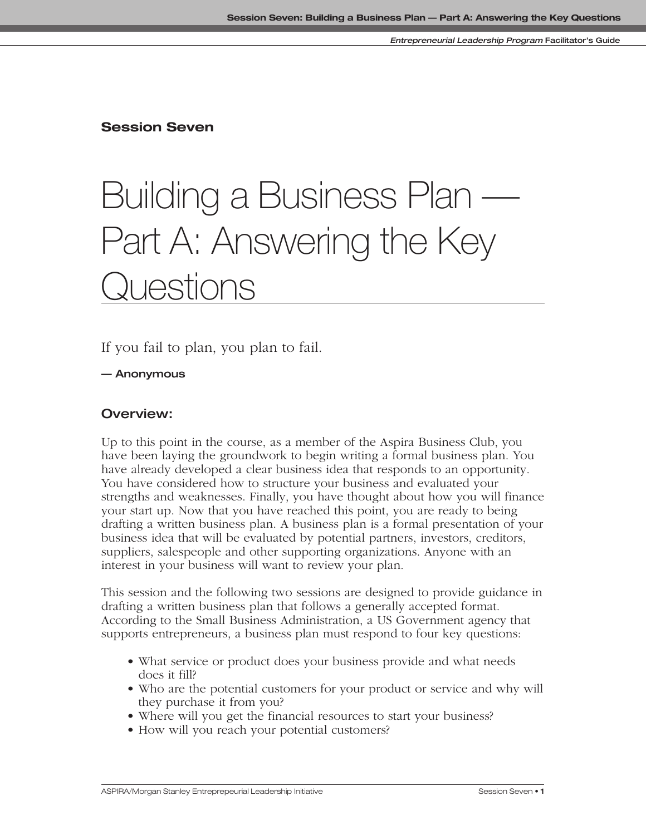**Session Seven**

# Building a Business Plan — Part A: Answering the Key Questions

If you fail to plan, you plan to fail.

**— Anonymous**

# **Overview:**

Up to this point in the course, as a member of the Aspira Business Club, you have been laying the groundwork to begin writing a formal business plan. You have already developed a clear business idea that responds to an opportunity. You have considered how to structure your business and evaluated your strengths and weaknesses. Finally, you have thought about how you will finance your start up. Now that you have reached this point, you are ready to being drafting a written business plan. A business plan is a formal presentation of your business idea that will be evaluated by potential partners, investors, creditors, suppliers, salespeople and other supporting organizations. Anyone with an interest in your business will want to review your plan.

This session and the following two sessions are designed to provide guidance in drafting a written business plan that follows a generally accepted format. According to the Small Business Administration, a US Government agency that supports entrepreneurs, a business plan must respond to four key questions:

- What service or product does your business provide and what needs does it fill?
- Who are the potential customers for your product or service and why will they purchase it from you?
- Where will you get the financial resources to start your business?
- How will you reach your potential customers?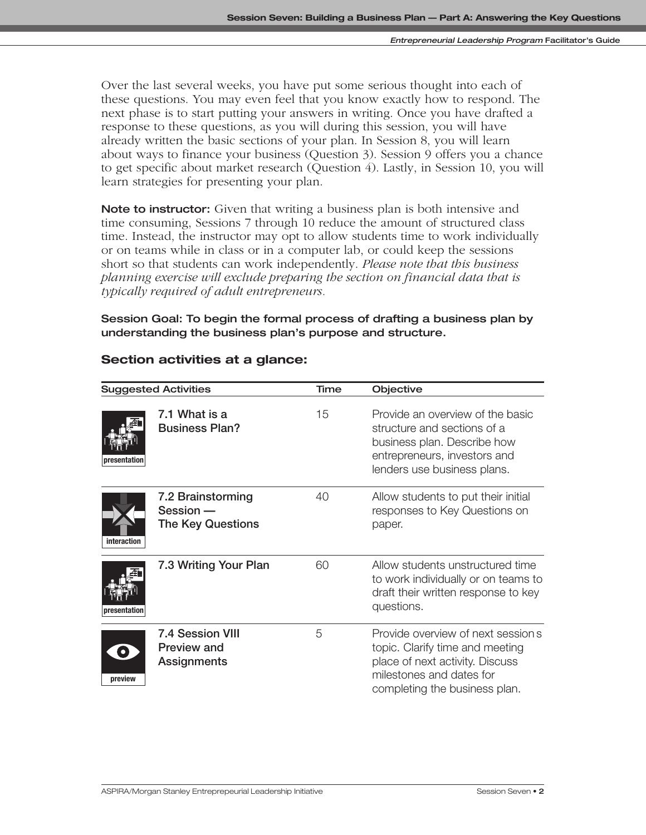Over the last several weeks, you have put some serious thought into each of these questions. You may even feel that you know exactly how to respond. The next phase is to start putting your answers in writing. Once you have drafted a response to these questions, as you will during this session, you will have already written the basic sections of your plan. In Session 8, you will learn about ways to finance your business (Question 3). Session 9 offers you a chance to get specific about market research (Question 4). Lastly, in Session 10, you will learn strategies for presenting your plan.

**Note to instructor:** Given that writing a business plan is both intensive and time consuming, Sessions 7 through 10 reduce the amount of structured class time. Instead, the instructor may opt to allow students time to work individually or on teams while in class or in a computer lab, or could keep the sessions short so that students can work independently. *Please note that this business planning exercise will exclude preparing the section on financial data that is typically required of adult entrepreneurs.* 

**Session Goal: To begin the formal process of drafting a business plan by understanding the business plan's purpose and structure.**

| <b>Suggested Activities</b> |                                                                     | Time | Objective                                                                                                                                                             |
|-----------------------------|---------------------------------------------------------------------|------|-----------------------------------------------------------------------------------------------------------------------------------------------------------------------|
| presentation                | 7.1 What is a<br><b>Business Plan?</b>                              | 15   | Provide an overview of the basic<br>structure and sections of a<br>business plan. Describe how<br>entrepreneurs, investors and<br>lenders use business plans.         |
| interaction                 | 7.2 Brainstorming<br>$Session -$<br><b>The Key Questions</b>        | 40   | Allow students to put their initial<br>responses to Key Questions on<br>paper.                                                                                        |
| presentation                | 7.3 Writing Your Plan                                               | 60   | Allow students unstructured time<br>to work individually or on teams to<br>draft their written response to key<br>questions.                                          |
| $\bullet$<br>preview        | <b>7.4 Session VIII</b><br><b>Preview and</b><br><b>Assignments</b> | 5    | Provide overview of next session s<br>topic. Clarify time and meeting<br>place of next activity. Discuss<br>milestones and dates for<br>completing the business plan. |

## **Section activities at a glance:**

**interaction**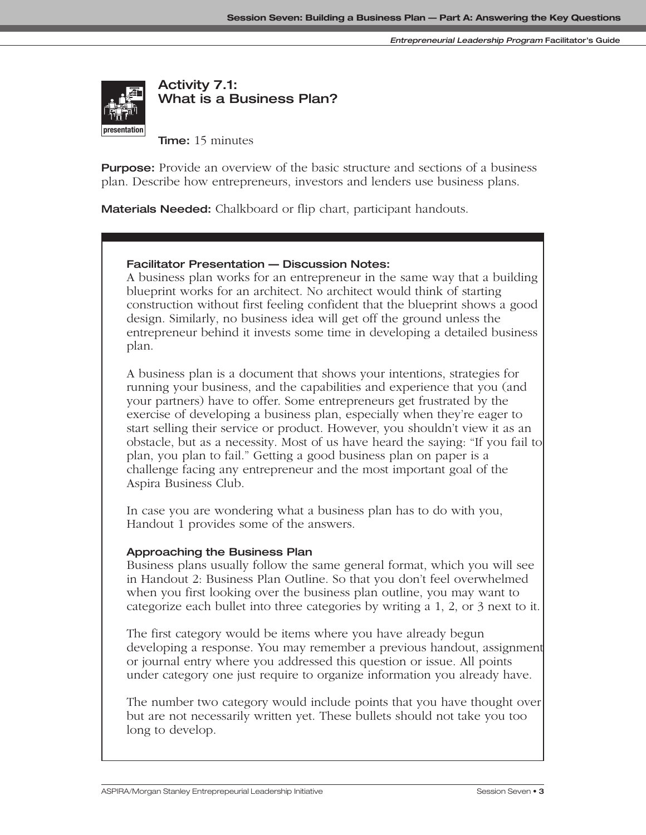

**Activity 7.1: What is a Business Plan?**

**Time:** 15 minutes

**Purpose:** Provide an overview of the basic structure and sections of a business plan. Describe how entrepreneurs, investors and lenders use business plans.

**Materials Needed:** Chalkboard or flip chart, participant handouts.

#### **Facilitator Presentation — Discussion Notes:**

A business plan works for an entrepreneur in the same way that a building blueprint works for an architect. No architect would think of starting construction without first feeling confident that the blueprint shows a good design. Similarly, no business idea will get off the ground unless the entrepreneur behind it invests some time in developing a detailed business plan.

A business plan is a document that shows your intentions, strategies for running your business, and the capabilities and experience that you (and your partners) have to offer. Some entrepreneurs get frustrated by the exercise of developing a business plan, especially when they're eager to start selling their service or product. However, you shouldn't view it as an obstacle, but as a necessity. Most of us have heard the saying: "If you fail to plan, you plan to fail." Getting a good business plan on paper is a challenge facing any entrepreneur and the most important goal of the Aspira Business Club.

In case you are wondering what a business plan has to do with you, Handout 1 provides some of the answers.

#### **Approaching the Business Plan**

Business plans usually follow the same general format, which you will see in Handout 2: Business Plan Outline. So that you don't feel overwhelmed when you first looking over the business plan outline, you may want to categorize each bullet into three categories by writing a 1, 2, or 3 next to it.

The first category would be items where you have already begun developing a response. You may remember a previous handout, assignment or journal entry where you addressed this question or issue. All points under category one just require to organize information you already have.

The number two category would include points that you have thought over but are not necessarily written yet. These bullets should not take you too long to develop.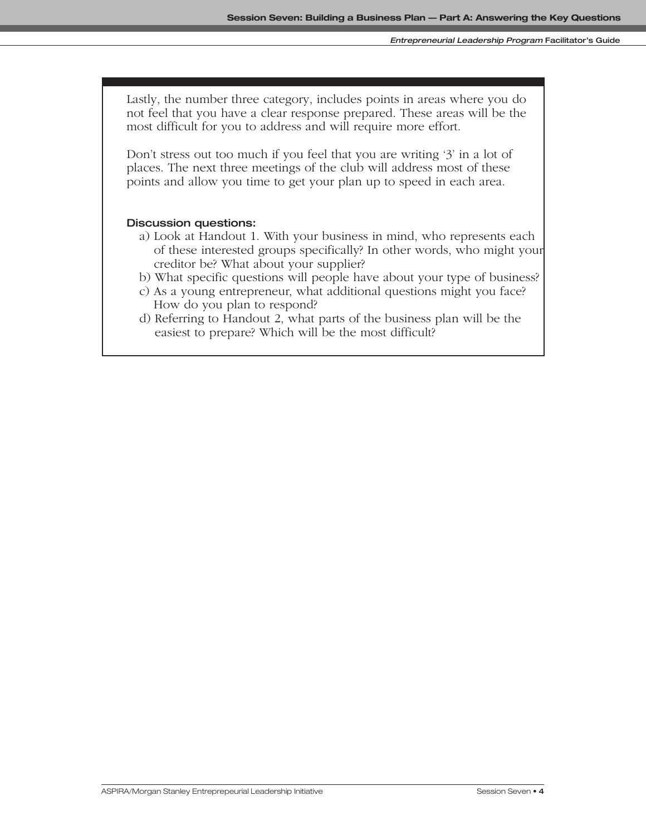Lastly, the number three category, includes points in areas where you do not feel that you have a clear response prepared. These areas will be the most difficult for you to address and will require more effort.

Don't stress out too much if you feel that you are writing '3' in a lot of places. The next three meetings of the club will address most of these points and allow you time to get your plan up to speed in each area.

#### **Discussion questions:**

- a) Look at Handout 1. With your business in mind, who represents each of these interested groups specifically? In other words, who might your creditor be? What about your supplier?
- b) What specific questions will people have about your type of business?
- c) As a young entrepreneur, what additional questions might you face? How do you plan to respond?
- d) Referring to Handout 2, what parts of the business plan will be the easiest to prepare? Which will be the most difficult?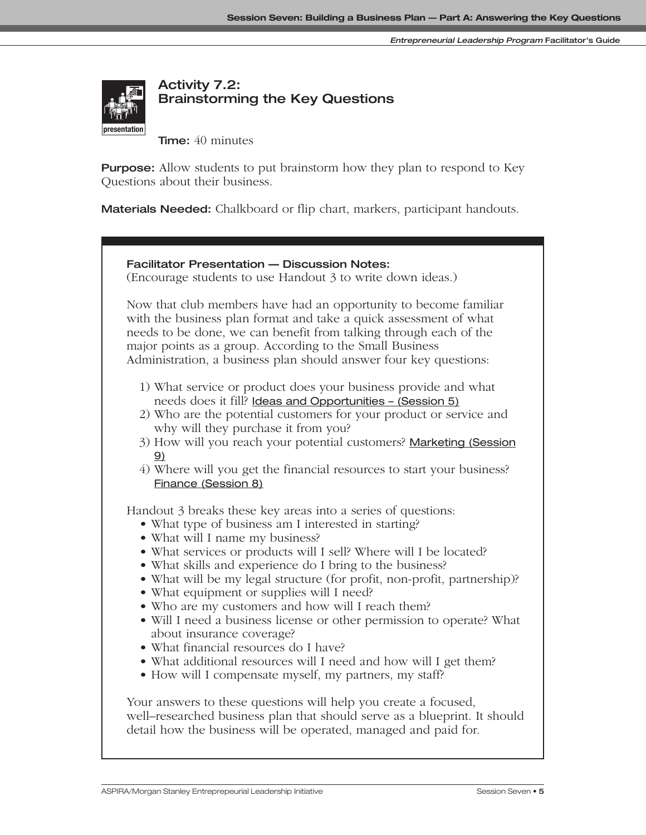

# **Activity 7.2: Brainstorming the Key Questions**

**Time:** 40 minutes

**Purpose:** Allow students to put brainstorm how they plan to respond to Key Questions about their business.

**Materials Needed:** Chalkboard or flip chart, markers, participant handouts.

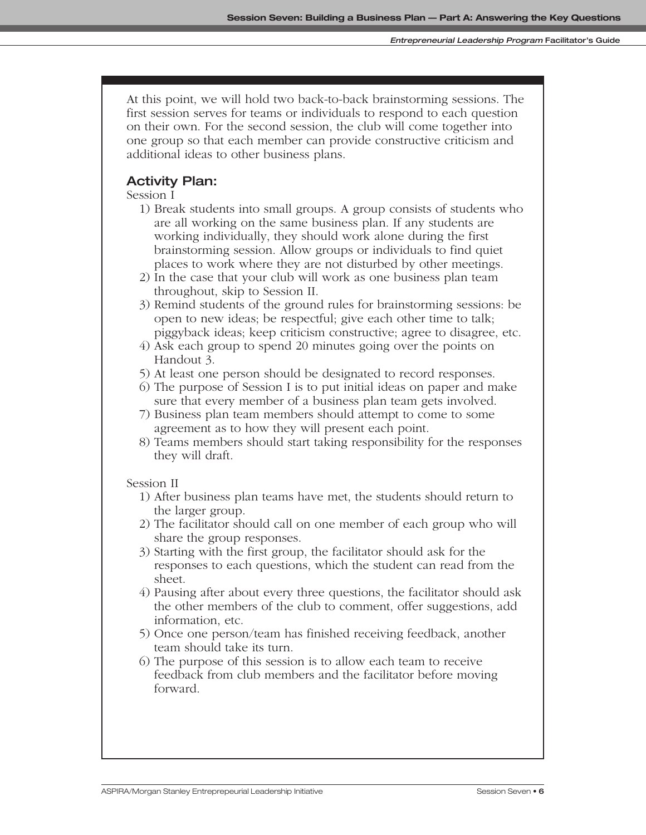At this point, we will hold two back-to-back brainstorming sessions. The first session serves for teams or individuals to respond to each question on their own. For the second session, the club will come together into one group so that each member can provide constructive criticism and additional ideas to other business plans.

# **Activity Plan:**

Session I

- 1) Break students into small groups. A group consists of students who are all working on the same business plan. If any students are working individually, they should work alone during the first brainstorming session. Allow groups or individuals to find quiet places to work where they are not disturbed by other meetings.
- 2) In the case that your club will work as one business plan team throughout, skip to Session II.
- 3) Remind students of the ground rules for brainstorming sessions: be open to new ideas; be respectful; give each other time to talk; piggyback ideas; keep criticism constructive; agree to disagree, etc.
- 4) Ask each group to spend 20 minutes going over the points on Handout 3.
- 5) At least one person should be designated to record responses.
- 6) The purpose of Session I is to put initial ideas on paper and make sure that every member of a business plan team gets involved.
- 7) Business plan team members should attempt to come to some agreement as to how they will present each point.
- 8) Teams members should start taking responsibility for the responses they will draft.

#### Session II

- 1) After business plan teams have met, the students should return to the larger group.
- 2) The facilitator should call on one member of each group who will share the group responses.
- 3) Starting with the first group, the facilitator should ask for the responses to each questions, which the student can read from the sheet.
- 4) Pausing after about every three questions, the facilitator should ask the other members of the club to comment, offer suggestions, add information, etc.
- 5) Once one person/team has finished receiving feedback, another team should take its turn.
- 6) The purpose of this session is to allow each team to receive feedback from club members and the facilitator before moving forward.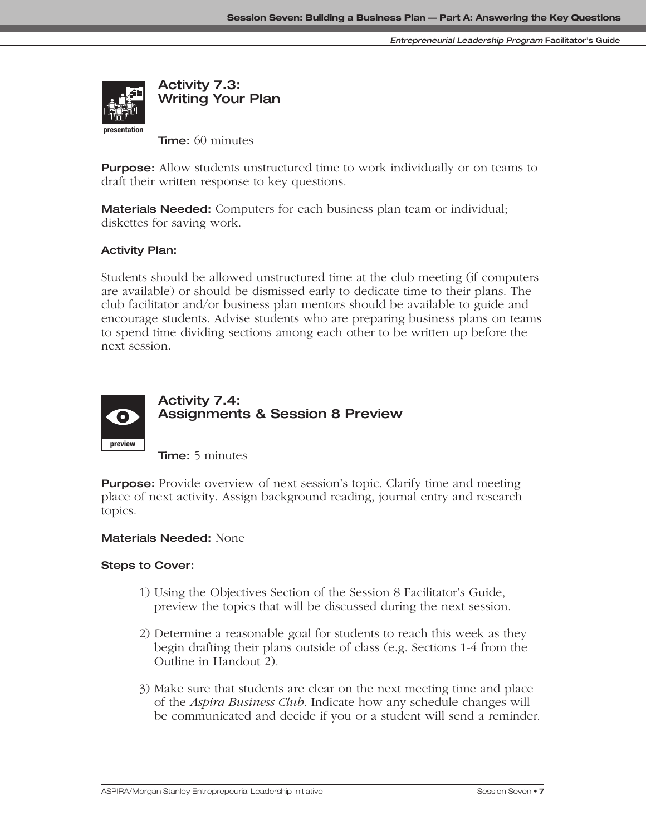

**Time:** 60 minutes

**Purpose:** Allow students unstructured time to work individually or on teams to draft their written response to key questions.

**Materials Needed:** Computers for each business plan team or individual; diskettes for saving work.

#### **Activity Plan:**

Students should be allowed unstructured time at the club meeting (if computers are available) or should be dismissed early to dedicate time to their plans. The club facilitator and/or business plan mentors should be available to guide and **interaction** encourage students. Advise students who are preparing business plans on teams to spend time dividing sections among each other to be written up before the next session.



# **Activity 7.4: Assignments & Session 8 Preview**

**Time:** 5 minutes

**Purpose:** Provide overview of next session's topic. Clarify time and meeting place of next activity. Assign background reading, journal entry and research topics.

#### **Materials Needed:** None

#### **Steps to Cover:**

- 1) Using the Objectives Section of the Session 8 Facilitator's Guide, preview the topics that will be discussed during the next session.
- 2) Determine a reasonable goal for students to reach this week as they begin drafting their plans outside of class (e.g. Sections 1-4 from the Outline in Handout 2).
- 3) Make sure that students are clear on the next meeting time and place of the *Aspira Business Club.* Indicate how any schedule changes will be communicated and decide if you or a student will send a reminder.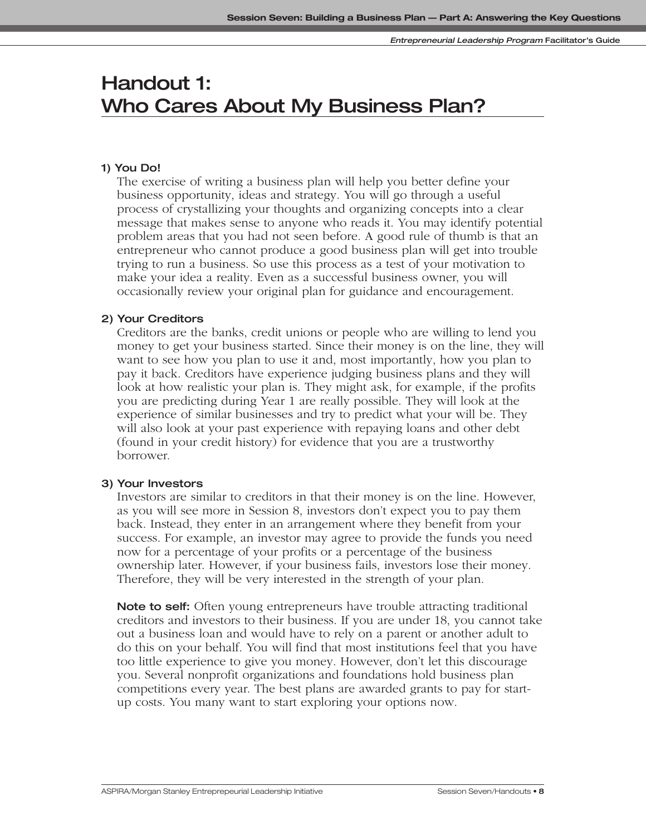# **Handout 1: Who Cares About My Business Plan?**

#### **1) You Do!**

The exercise of writing a business plan will help you better define your business opportunity, ideas and strategy. You will go through a useful process of crystallizing your thoughts and organizing concepts into a clear message that makes sense to anyone who reads it. You may identify potential problem areas that you had not seen before. A good rule of thumb is that an entrepreneur who cannot produce a good business plan will get into trouble trying to run a business. So use this process as a test of your motivation to make your idea a reality. Even as a successful business owner, you will occasionally review your original plan for guidance and encouragement.

#### **2) Your Creditors**

Creditors are the banks, credit unions or people who are willing to lend you money to get your business started. Since their money is on the line, they will want to see how you plan to use it and, most importantly, how you plan to pay it back. Creditors have experience judging business plans and they will look at how realistic your plan is. They might ask, for example, if the profits you are predicting during Year 1 are really possible. They will look at the experience of similar businesses and try to predict what your will be. They will also look at your past experience with repaying loans and other debt (found in your credit history) for evidence that you are a trustworthy borrower.

#### **3) Your Investors**

Investors are similar to creditors in that their money is on the line. However, as you will see more in Session 8, investors don't expect you to pay them back. Instead, they enter in an arrangement where they benefit from your success. For example, an investor may agree to provide the funds you need now for a percentage of your profits or a percentage of the business ownership later. However, if your business fails, investors lose their money. Therefore, they will be very interested in the strength of your plan.

**Note to self:** Often young entrepreneurs have trouble attracting traditional creditors and investors to their business. If you are under 18, you cannot take out a business loan and would have to rely on a parent or another adult to do this on your behalf. You will find that most institutions feel that you have too little experience to give you money. However, don't let this discourage you. Several nonprofit organizations and foundations hold business plan competitions every year. The best plans are awarded grants to pay for startup costs. You many want to start exploring your options now.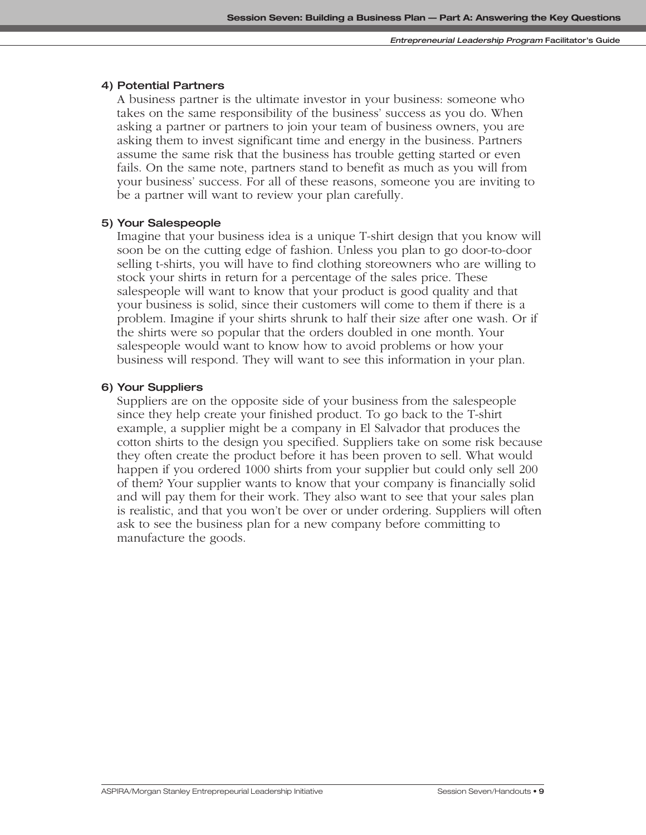#### **4) Potential Partners**

A business partner is the ultimate investor in your business: someone who takes on the same responsibility of the business' success as you do. When asking a partner or partners to join your team of business owners, you are asking them to invest significant time and energy in the business. Partners assume the same risk that the business has trouble getting started or even fails. On the same note, partners stand to benefit as much as you will from your business' success. For all of these reasons, someone you are inviting to be a partner will want to review your plan carefully.

## **5) Your Salespeople**

Imagine that your business idea is a unique T-shirt design that you know will soon be on the cutting edge of fashion. Unless you plan to go door-to-door selling t-shirts, you will have to find clothing storeowners who are willing to stock your shirts in return for a percentage of the sales price. These salespeople will want to know that your product is good quality and that your business is solid, since their customers will come to them if there is a problem. Imagine if your shirts shrunk to half their size after one wash. Or if the shirts were so popular that the orders doubled in one month. Your salespeople would want to know how to avoid problems or how your business will respond. They will want to see this information in your plan.

#### **6) Your Suppliers**

Suppliers are on the opposite side of your business from the salespeople since they help create your finished product. To go back to the T-shirt example, a supplier might be a company in El Salvador that produces the cotton shirts to the design you specified. Suppliers take on some risk because they often create the product before it has been proven to sell. What would happen if you ordered 1000 shirts from your supplier but could only sell 200 of them? Your supplier wants to know that your company is financially solid and will pay them for their work. They also want to see that your sales plan is realistic, and that you won't be over or under ordering. Suppliers will often ask to see the business plan for a new company before committing to manufacture the goods.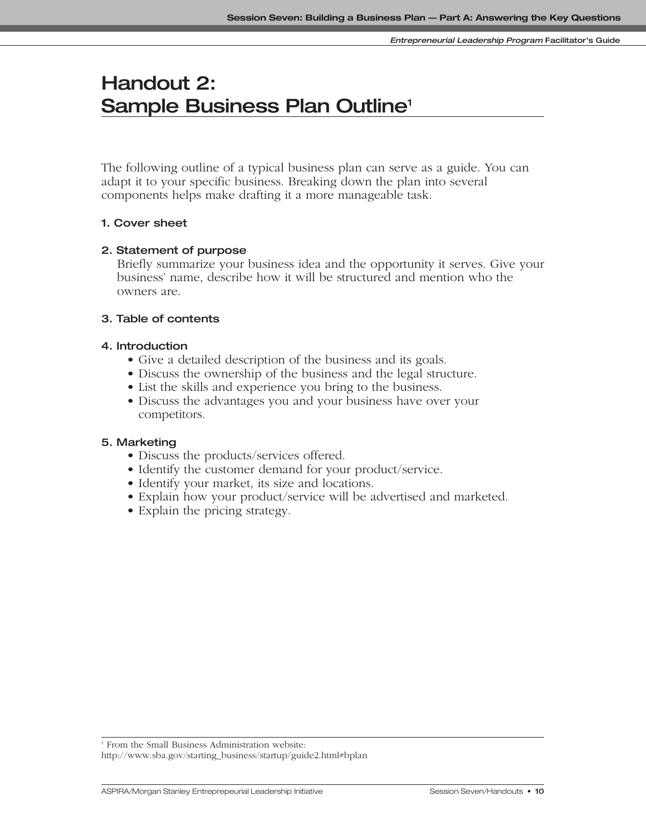# **Handout 2: Sample Business Plan Outline1**

The following outline of a typical business plan can serve as a guide. You can adapt it to your specific business. Breaking down the plan into several components helps make drafting it a more manageable task.

#### **1. Cover sheet**

#### **2. Statement of purpose**

Briefly summarize your business idea and the opportunity it serves. Give your business' name, describe how it will be structured and mention who the owners are.

## **3. Table of contents**

#### **4. Introduction**

- Give a detailed description of the business and its goals.
- Discuss the ownership of the business and the legal structure.
- List the skills and experience you bring to the business.
- Discuss the advantages you and your business have over your competitors.

#### **5. Marketing**

- Discuss the products/services offered.
- Identify the customer demand for your product/service.
- Identify your market, its size and locations.
- Explain how your product/service will be advertised and marketed.
- Explain the pricing strategy.

<sup>1</sup> From the Small Business Administration website: http://www.sba.gov/starting\_business/startup/guide2.html#bplan

ASPIRA/Morgan Stanley Entreprepeurial Leadership Initiative **Sexual Sexual Session Seven/Handouts • 10**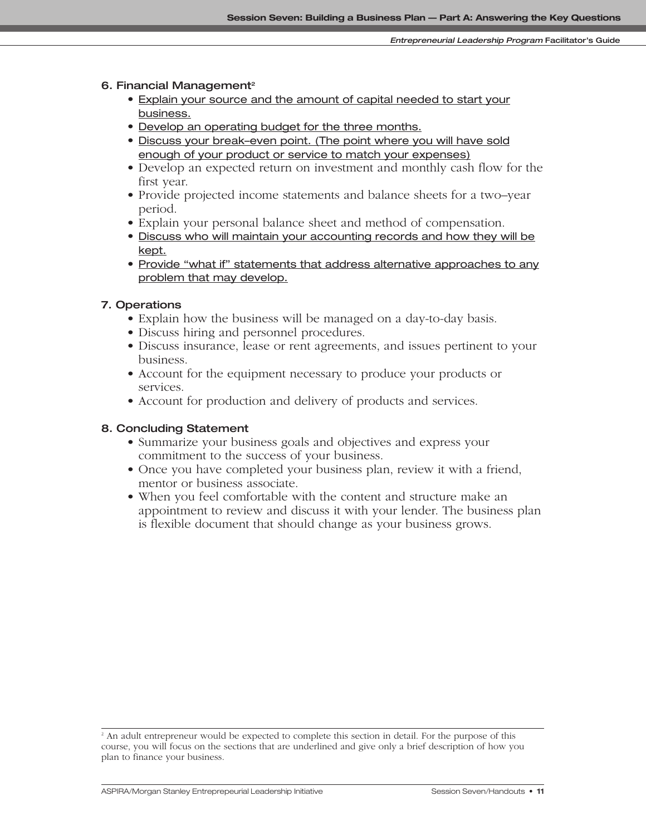#### **6. Financial Management2**

- Explain your source and the amount of capital needed to start your business.
- Develop an operating budget for the three months.
- Discuss your break–even point. (The point where you will have sold enough of your product or service to match your expenses)
- Develop an expected return on investment and monthly cash flow for the first year.
- Provide projected income statements and balance sheets for a two–year period.
- Explain your personal balance sheet and method of compensation.
- Discuss who will maintain your accounting records and how they will be kept.
- Provide "what if" statements that address alternative approaches to any problem that may develop.

## **7. Operations**

- Explain how the business will be managed on a day-to-day basis.
- Discuss hiring and personnel procedures.
- Discuss insurance, lease or rent agreements, and issues pertinent to your business.
- Account for the equipment necessary to produce your products or services.
- Account for production and delivery of products and services.

#### **8. Concluding Statement**

- Summarize your business goals and objectives and express your commitment to the success of your business.
- Once you have completed your business plan, review it with a friend, mentor or business associate.
- When you feel comfortable with the content and structure make an appointment to review and discuss it with your lender. The business plan is flexible document that should change as your business grows.

<sup>&</sup>lt;sup>2</sup> An adult entrepreneur would be expected to complete this section in detail. For the purpose of this course, you will focus on the sections that are underlined and give only a brief description of how you plan to finance your business.